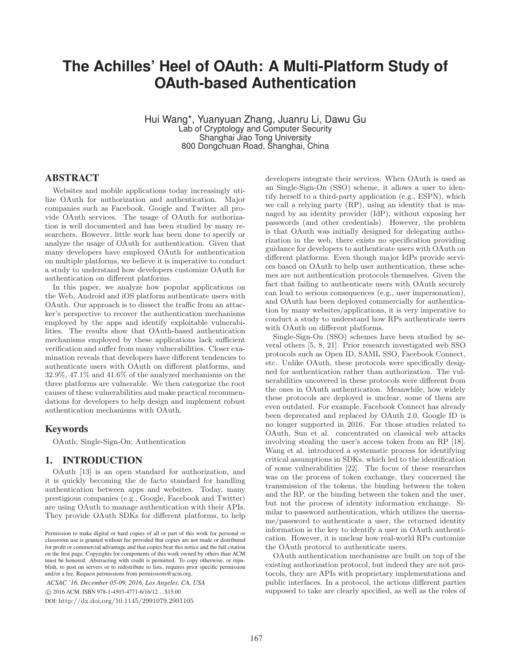# **The Achilles' Heel of OAuth: A Multi-Platform Study of OAuth-based Authentication**

Hui Wang\*, Yuanyuan Zhang, Juanru Li, Dawu Gu Lab of Cryptology and Computer Security Shanghai Jiao Tong University 800 Dongchuan Road, Shanghai, China

# ABSTRACT

Websites and mobile applications today increasingly utilize OAuth for authorization and authentication. Major companies such as Facebook, Google and Twitter all provide OAuth services. The usage of OAuth for authorization is well documented and has been studied by many researchers. However, little work has been done to specify or analyze the usage of OAuth for authentication. Given that many developers have employed OAuth for authentication on multiple platforms, we believe it is imperative to conduct a study to understand how developers customize OAuth for authentication on different platforms.

In this paper, we analyze how popular applications on the Web, Android and iOS platform authenticate users with OAuth. Our approach is to dissect the traffic from an attacker's perspective to recover the authentication mechanisms employed by the apps and identify exploitable vulnerabilities. The results show that OAuth-based authentication mechanisms employed by these applications lack sufficient verification and suffer from many vulnerabilities. Closer examination reveals that developers have different tendencies to authenticate users with OAuth on different platforms, and 32.9%, 47.1% and 41.6% of the analyzed mechanisms on the three platforms are vulnerable. We then categorize the root causes of these vulnerabilities and make practical recommendations for developers to help design and implement robust authentication mechanisms with OAuth.

# Keywords

OAuth; Single-Sign-On; Authentication

# 1. INTRODUCTION

OAuth [13] is an open standard for authorization, and it is quickly becoming the de facto standard for handling authentication between apps and websites. Today, many prestigious companies (e.g., Google, Facebook and Twitter) are using OAuth to manage authentication with their APIs. They provide OAuth SDKs for different platforms, to help

*ACSAC '16, December 05-09, 2016, Los Angeles, CA, USA*

⃝c 2016 ACM. ISBN 978-1-4503-4771-6/16/12. . . \$15.00

DOI: http://dx.doi.org/10.1145/2991079.2991105

developers integrate their services. When OAuth is used as an Single-Sign-On (SSO) scheme, it allows a user to identify herself to a third-party application (e.g., ESPN), which we call a relying party (RP), using an identity that is managed by an identity provider (IdP), without exposing her passwords (and other credentials). However, the problem is that OAuth was initially designed for delegating authorization in the web, there exists no specification providing guidance for developers to authenticate users with OAuth on different platforms. Even though major IdPs provide services based on OAuth to help user authentication, these schemes are not authentication protocols themselves. Given the fact that failing to authenticate users with OAuth securely can lead to serious consequences (e.g., user impersonation), and OAuth has been deployed commercially for authentication by many websites/applications, it is very imperative to conduct a study to understand how RPs authenticate users with OAuth on different platforms.

Single-Sign-On (SSO) schemes have been studied by several others [5, 8, 21]. Prior research investigated web SSO protocols such as Open ID, SAML SSO, Facebook Connect, etc. Unlike OAuth, these protocols were specifically designed for authentication rather than authorization. The vulnerabilities uncovered in these protocols were different from the ones in OAuth authentication. Meanwhile, how widely these protocols are deployed is unclear, some of them are even outdated. For example, Facebook Connect has already been deprecated and replaced by OAuth 2.0, Google ID is no longer supported in 2016. For those studies related to OAuth, Sun et al. concentrated on classical web attacks involving stealing the user's access token from an RP [18]. Wang et al. introduced a systematic process for identifying critical assumptions in SDKs, which led to the identification of some vulnerabilities [22]. The focus of these researches was on the process of token exchange, they concerned the transmission of the tokens, the binding between the token and the RP, or the binding between the token and the user, but not the process of identity information exchange. Similar to password authentication, which utilizes the username/password to authenticate a user, the returned identity information is the key to identify a user in OAuth authentication. However, it is unclear how real-world RPs customize the OAuth protocol to authenticate users.

OAuth authentication mechanisms are built on top of the existing authorization protocol, but indeed they are not protocols, they are APIs with proprietary implementations and public interfaces. In a protocol, the actions different parties supposed to take are clearly specified, as well as the roles of

Permission to make digital or hard copies of all or part of this work for personal or classroom use is granted without fee provided that copies are not made or distributed for profit or commercial advantage and that copies bear this notice and the full citation on the first page. Copyrights for components of this work owned by others than ACM must be honored. Abstracting with credit is permitted. To copy otherwise, or republish, to post on servers or to redistribute to lists, requires prior specific permission and/or a fee. Request permissions from permissions@acm.org.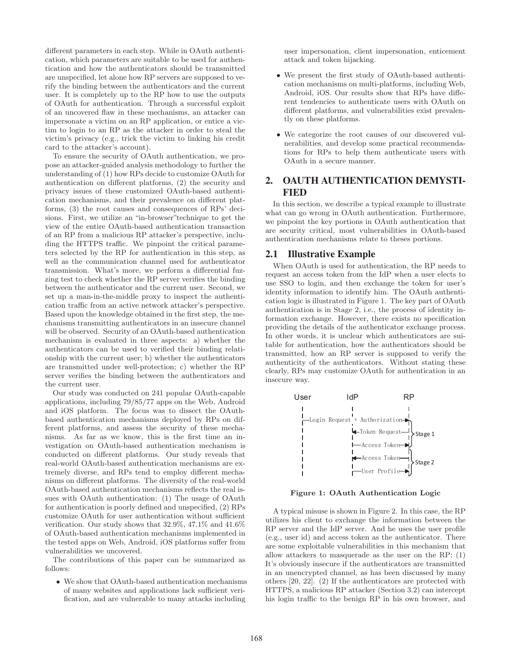different parameters in each step. While in OAuth authentication, which parameters are suitable to be used for authentication and how the authenticators should be transmitted are unspecified, let alone how RP servers are supposed to verify the binding between the authenticators and the current user. It is completely up to the RP how to use the outputs of OAuth for authentication. Through a successful exploit of an uncovered flaw in these mechanisms, an attacker can impersonate a victim on an RP application, or entice a victim to login to an RP as the attacker in order to steal the victim's privacy (e.g., trick the victim to linking his credit card to the attacker's account).

To ensure the security of OAuth authentication, we propose an attacker-guided analysis methodology to further the understanding of (1) how RPs decide to customize OAuth for authentication on different platforms, (2) the security and privacy issues of these customized OAuth-based authentication mechanisms, and their prevalence on different platforms, (3) the root causes and consequences of RPs' decisions. First, we utilize an "in-browser"technique to get the view of the entire OAuth-based authentication transaction of an RP from a malicious RP attacker's perspective, including the HTTPS traffic. We pinpoint the critical parameters selected by the RP for authentication in this step, as well as the communication channel used for authenticator transmission. What's more, we perform a differential fuzzing test to check whether the RP server verifies the binding between the authenticator and the current user. Second, we set up a man-in-the-middle proxy to inspect the authentication traffic from an active network attacker's perspective. Based upon the knowledge obtained in the first step, the mechanisms transmitting authenticators in an insecure channel will be observed. Security of an OAuth-based authentication mechanism is evaluated in three aspects: a) whether the authenticators can be used to verified their binding relationship with the current user; b) whether the authenticators are transmitted under well-protection; c) whether the RP server verifies the binding between the authenticators and the current user.

Our study was conducted on 241 popular OAuth-capable applications, including 79/85/77 apps on the Web, Android and iOS platform. The focus was to dissect the OAuthbased authentication mechanisms deployed by RPs on different platforms, and assess the security of these mechanisms. As far as we know, this is the first time an investigation on OAuth-based authentication mechanism is conducted on different platforms. Our study reveals that real-world OAuth-based authentication mechanisms are extremely diverse, and RPs tend to employ different mechanisms on different platforms. The diversity of the real-world OAuth-based authentication mechanisms reflects the real issues with OAuth authentication: (1) The usage of OAuth for authentication is poorly defined and unspecified, (2) RPs customize OAuth for user authentication without sufficient verification. Our study shows that 32.9%, 47.1% and 41.6% of OAuth-based authentication mechanisms implemented in the tested apps on Web, Android, iOS platforms suffer from vulnerabilities we uncovered.

The contributions of this paper can be summarized as follows:

*•* We show that OAuth-based authentication mechanisms of many websites and applications lack sufficient verification, and are vulnerable to many attacks including

user impersonation, client impersonation, enticement attack and token hijacking.

- *•* We present the first study of OAuth-based authentication mechanisms on multi-platforms, including Web, Android, iOS. Our results show that RPs have different tendencies to authenticate users with OAuth on different platforms, and vulnerabilities exist prevalently on these platforms.
- *•* We categorize the root causes of our discovered vulnerabilities, and develop some practical recommendations for RPs to help them authenticate users with OAuth in a secure manner.

# 2. OAUTH AUTHENTICATION DEMYSTI-**FIED**

In this section, we describe a typical example to illustrate what can go wrong in OAuth authentication. Furthermore, we pinpoint the key portions in OAuth authentication that are security critical, most vulnerabilities in OAuth-based authentication mechanisms relate to theses portions.

# 2.1 Illustrative Example

When OAuth is used for authentication, the RP needs to request an access token from the IdP when a user elects to use SSO to login, and then exchange the token for user's identity information to identify him. The OAuth authentication logic is illustrated in Figure 1. The key part of OAuth authentication is in Stage 2, i.e., the process of identity information exchange. However, there exists no specification providing the details of the authenticator exchange process. In other words, it is unclear which authenticators are suitable for authentication, how the authenticators should be transmitted, how an RP server is supposed to verify the authenticity of the authenticators. Without stating these clearly, RPs may customize OAuth for authentication in an insecure way.



Figure 1: OAuth Authentication Logic

A typical misuse is shown in Figure 2. In this case, the RP utilizes his client to exchange the information between the RP server and the IdP server. And he uses the user profile (e.g., user id) and access token as the authenticator. There are some exploitable vulnerabilities in this mechanism that allow attackers to masquerade as the user on the RP: (1) It's obviously insecure if the authenticators are transmitted in an unencrypted channel, as has been discussed by many others [20, 22]. (2) If the authenticators are protected with HTTPS, a malicious RP attacker (Section 3.2) can intercept his login traffic to the benign RP in his own browser, and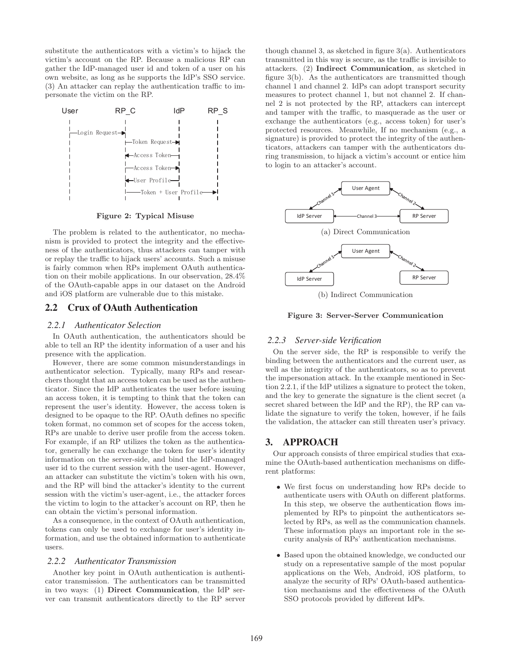substitute the authenticators with a victim's to hijack the victim's account on the RP. Because a malicious RP can gather the IdP-managed user id and token of a user on his own website, as long as he supports the IdP's SSO service. (3) An attacker can replay the authentication traffic to impersonate the victim on the RP.



Figure 2: Typical Misuse

The problem is related to the authenticator, no mechanism is provided to protect the integrity and the effectiveness of the authenticators, thus attackers can tamper with or replay the traffic to hijack users' accounts. Such a misuse is fairly common when RPs implement OAuth authentication on their mobile applications. In our observation, 28.4% of the OAuth-capable apps in our dataset on the Android and iOS platform are vulnerable due to this mistake.

# 2.2 Crux of OAuth Authentication

#### *2.2.1 Authenticator Selection*

In OAuth authentication, the authenticators should be able to tell an RP the identity information of a user and his presence with the application.

However, there are some common misunderstandings in authenticator selection. Typically, many RPs and researchers thought that an access token can be used as the authenticator. Since the IdP authenticates the user before issuing an access token, it is tempting to think that the token can represent the user's identity. However, the access token is designed to be opaque to the RP. OAuth defines no specific token format, no common set of scopes for the access token, RPs are unable to derive user profile from the access token. For example, if an RP utilizes the token as the authenticator, generally he can exchange the token for user's identity information on the server-side, and bind the IdP-managed user id to the current session with the user-agent. However, an attacker can substitute the victim's token with his own, and the RP will bind the attacker's identity to the current session with the victim's user-agent, i.e., the attacker forces the victim to login to the attacker's account on RP, then he can obtain the victim's personal information.

As a consequence, in the context of OAuth authentication, tokens can only be used to exchange for user's identity information, and use the obtained information to authenticate users.

#### *2.2.2 Authenticator Transmission*

Another key point in OAuth authentication is authenticator transmission. The authenticators can be transmitted in two ways: (1) Direct Communication, the IdP server can transmit authenticators directly to the RP server though channel 3, as sketched in figure 3(a). Authenticators transmitted in this way is secure, as the traffic is invisible to attackers. (2) Indirect Communication, as sketched in figure 3(b). As the authenticators are transmitted though channel 1 and channel 2. IdPs can adopt transport security measures to protect channel 1, but not channel 2. If channel 2 is not protected by the RP, attackers can intercept and tamper with the traffic, to masquerade as the user or exchange the authenticators (e.g., access token) for user's protected resources. Meanwhile, If no mechanism (e.g., a signature) is provided to protect the integrity of the authenticators, attackers can tamper with the authenticators during transmission, to hijack a victim's account or entice him to login to an attacker's account.



(b) Indirect Communication

#### Figure 3: Server-Server Communication

#### *2.2.3 Server-side Verification*

On the server side, the RP is responsible to verify the binding between the authenticators and the current user, as well as the integrity of the authenticators, so as to prevent the impersonation attack. In the example mentioned in Section 2.2.1, if the IdP utilizes a signature to protect the token, and the key to generate the signature is the client secret (a secret shared between the IdP and the RP), the RP can validate the signature to verify the token, however, if he fails the validation, the attacker can still threaten user's privacy.

# 3. APPROACH

Our approach consists of three empirical studies that examine the OAuth-based authentication mechanisms on different platforms:

- *•* We first focus on understanding how RPs decide to authenticate users with OAuth on different platforms. In this step, we observe the authentication flows implemented by RPs to pinpoint the authenticators selected by RPs, as well as the communication channels. These information plays an important role in the security analysis of RPs' authentication mechanisms.
- *•* Based upon the obtained knowledge, we conducted our study on a representative sample of the most popular applications on the Web, Android, iOS platform, to analyze the security of RPs' OAuth-based authentication mechanisms and the effectiveness of the OAuth SSO protocols provided by different IdPs.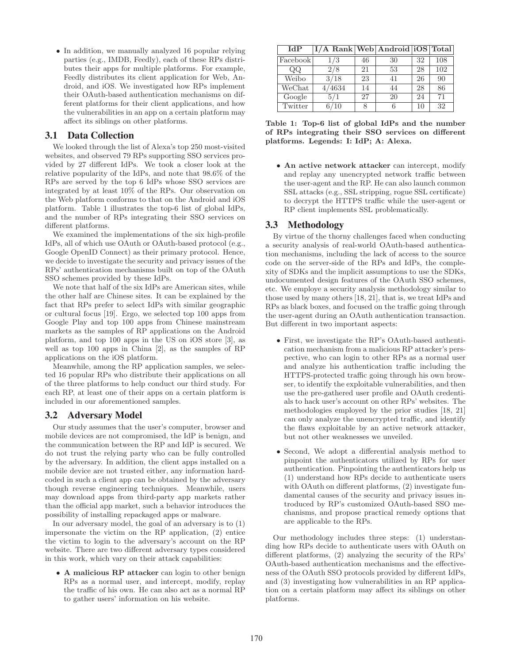• In addition, we manually analyzed 16 popular relying parties (e.g., IMDB, Feedly), each of these RPs distributes their apps for multiple platforms. For example, Feedly distributes its client application for Web, Android, and iOS. We investigated how RPs implement their OAuth-based authentication mechanisms on different platforms for their client applications, and how the vulnerabilities in an app on a certain platform may affect its siblings on other platforms.

#### 3.1 Data Collection

We looked through the list of Alexa's top 250 most-visited websites, and observed 79 RPs supporting SSO services provided by 27 different IdPs. We took a closer look at the relative popularity of the IdPs, and note that 98.6% of the RPs are served by the top 6 IdPs whose SSO services are integrated by at least 10% of the RPs. Our observation on the Web platform conforms to that on the Android and iOS platform. Table 1 illustrates the top-6 list of global IdPs, and the number of RPs integrating their SSO services on different platforms.

We examined the implementations of the six high-profile IdPs, all of which use OAuth or OAuth-based protocol (e.g., Google OpenID Connect) as their primary protocol. Hence, we decide to investigate the security and privacy issues of the RPs' authentication mechanisms built on top of the OAuth SSO schemes provided by these IdPs.

We note that half of the six IdPs are American sites, while the other half are Chinese sites. It can be explained by the fact that RPs prefer to select IdPs with similar geographic or cultural focus [19]. Ergo, we selected top 100 apps from Google Play and top 100 apps from Chinese mainstream markets as the samples of RP applications on the Android platform, and top 100 apps in the US on iOS store [3], as well as top 100 apps in China [2], as the samples of RP applications on the iOS platform.

Meanwhile, among the RP application samples, we selected 16 popular RPs who distribute their applications on all of the three platforms to help conduct our third study. For each RP, at least one of their apps on a certain platform is included in our aforementioned samples.

# 3.2 Adversary Model

Our study assumes that the user's computer, browser and mobile devices are not compromised, the IdP is benign, and the communication between the RP and IdP is secured. We do not trust the relying party who can be fully controlled by the adversary. In addition, the client apps installed on a mobile device are not trusted either, any information hardcoded in such a client app can be obtained by the adversary though reverse engineering techniques. Meanwhile, users may download apps from third-party app markets rather than the official app market, such a behavior introduces the possibility of installing repackaged apps or malware.

In our adversary model, the goal of an adversary is to (1) impersonate the victim on the RP application, (2) entice the victim to login to the adversary's account on the RP website. There are two different adversary types considered in this work, which vary on their attack capabilities:

• A malicious RP attacker can login to other benign RPs as a normal user, and intercept, modify, replay the traffic of his own. He can also act as a normal RP to gather users' information on his website.

| IdP      | I/A Rank Web Android iOS Total |    |    |    |     |
|----------|--------------------------------|----|----|----|-----|
| Facebook |                                | 46 | 30 | 32 | 108 |
| QQ       | 2/8                            | 21 | 53 | 28 | 102 |
| Weibo    | 3/18                           | 23 | 41 | 26 | 90  |
| WeChat   | 4/4634                         | 14 | 44 | 28 | 86  |
| Google   | 5/1                            | 27 | 20 | 24 | 71  |
| Twitter  | 6/10                           |    |    | 10 | 32  |

Table 1: Top-6 list of global IdPs and the number of RPs integrating their SSO services on different platforms. Legends: I: IdP; A: Alexa.

• An active network attacker can intercept, modify and replay any unencrypted network traffic between the user-agent and the RP. He can also launch common SSL attacks (e.g., SSL stripping, rogue SSL certificate) to decrypt the HTTPS traffic while the user-agent or RP client implements SSL problematically.

# 3.3 Methodology

By virtue of the thorny challenges faced when conducting a security analysis of real-world OAuth-based authentication mechanisms, including the lack of access to the source code on the server-side of the RPs and IdPs, the complexity of SDKs and the implicit assumptions to use the SDKs, undocumented design features of the OAuth SSO schemes, etc. We employe a security analysis methodology similar to those used by many others [18, 21], that is, we treat IdPs and RPs as black boxes, and focused on the traffic going through the user-agent during an OAuth authentication transaction. But different in two important aspects:

- *•* First, we investigate the RP's OAuth-based authentication mechanism from a malicious RP attacker's perspective, who can login to other RPs as a normal user and analyze his authentication traffic including the HTTPS-protected traffic going through his own browser, to identify the exploitable vulnerabilities, and then use the pre-gathered user profile and OAuth credentials to hack user's account on other RPs' websites. The methodologies employed by the prior studies [18, 21] can only analyze the unencrypted traffic, and identify the flaws exploitable by an active network attacker, but not other weaknesses we unveiled.
- *•* Second, We adopt a differential analysis method to pinpoint the authenticators utilized by RPs for user authentication. Pinpointing the authenticators help us (1) understand how RPs decide to authenticate users with OAuth on different platforms,  $(2)$  investigate fundamental causes of the security and privacy issues introduced by RP's customized OAuth-based SSO mechanisms, and propose practical remedy options that are applicable to the RPs.

Our methodology includes three steps: (1) understanding how RPs decide to authenticate users with OAuth on different platforms, (2) analyzing the security of the RPs' OAuth-based authentication mechanisms and the effectiveness of the OAuth SSO protocols provided by different IdPs, and (3) investigating how vulnerabilities in an RP application on a certain platform may affect its siblings on other platforms.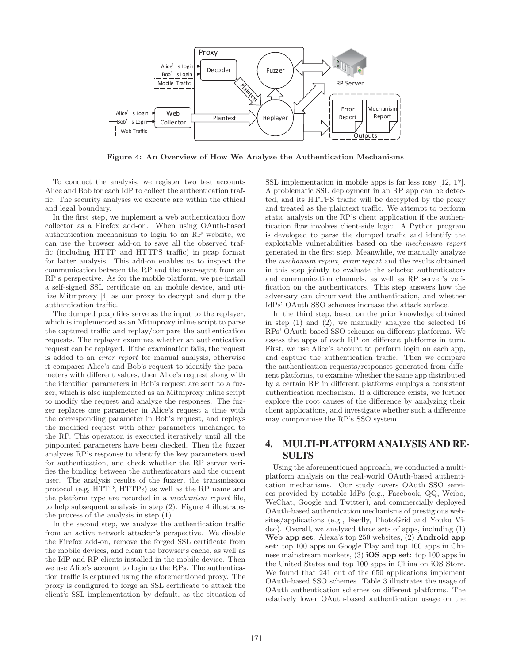

Figure 4: An Overview of How We Analyze the Authentication Mechanisms

To conduct the analysis, we register two test accounts Alice and Bob for each IdP to collect the authentication traffic. The security analyses we execute are within the ethical and legal boundary.

In the first step, we implement a web authentication flow collector as a Firefox add-on. When using OAuth-based authentication mechanisms to login to an RP website, we can use the browser add-on to save all the observed traffic (including HTTP and HTTPS traffic) in pcap format for latter analysis. This add-on enables us to inspect the communication between the RP and the user-agent from an RP's perspective. As for the mobile platform, we pre-install a self-signed SSL certificate on an mobile device, and utilize Mitmproxy [4] as our proxy to decrypt and dump the authentication traffic.

The dumped pcap files serve as the input to the replayer, which is implemented as an Mitmproxy inline script to parse the captured traffic and replay/compare the authentication requests. The replayer examines whether an authentication request can be replayed. If the examination fails, the request is added to an *error report* for manual analysis, otherwise it compares Alice's and Bob's request to identify the parameters with different values, then Alice's request along with the identified parameters in Bob's request are sent to a fuzzer, which is also implemented as an Mitmproxy inline script to modify the request and analyze the responses. The fuzzer replaces one parameter in Alice's request a time with the corresponding parameter in Bob's request, and replays the modified request with other parameters unchanged to the RP. This operation is executed iteratively until all the pinpointed parameters have been checked. Then the fuzzer analyzes RP's response to identify the key parameters used for authentication, and check whether the RP server verifies the binding between the authenticators and the current user. The analysis results of the fuzzer, the transmission protocol (e.g, HTTP, HTTPs) as well as the RP name and the platform type are recorded in a *mechanism report* file, to help subsequent analysis in step (2). Figure 4 illustrates the process of the analysis in step (1).

In the second step, we analyze the authentication traffic from an active network attacker's perspective. We disable the Firefox add-on, remove the forged SSL certificate from the mobile devices, and clean the browser's cache, as well as the IdP and RP clients installed in the mobile device. Then we use Alice's account to login to the RPs. The authentication traffic is captured using the aforementioned proxy. The proxy is configured to forge an SSL certificate to attack the client's SSL implementation by default, as the situation of SSL implementation in mobile apps is far less rosy [12, 17]. A problematic SSL deployment in an RP app can be detected, and its HTTPS traffic will be decrypted by the proxy and treated as the plaintext traffic. We attempt to perform static analysis on the RP's client application if the authentication flow involves client-side logic. A Python program is developed to parse the dumped traffic and identify the exploitable vulnerabilities based on the *mechanism report* generated in the first step. Meanwhile, we manually analyze the *mechanism report*, *error report* and the results obtained in this step jointly to evaluate the selected authenticators and communication channels, as well as RP server's verification on the authenticators. This step answers how the adversary can circumvent the authentication, and whether IdPs' OAuth SSO schemes increase the attack surface.

In the third step, based on the prior knowledge obtained in step (1) and (2), we manually analyze the selected 16 RPs' OAuth-based SSO schemes on different platforms. We assess the apps of each RP on different platforms in turn. First, we use Alice's account to perform login on each app, and capture the authentication traffic. Then we compare the authentication requests/responses generated from different platforms, to examine whether the same app distributed by a certain RP in different platforms employs a consistent authentication mechanism. If a difference exists, we further explore the root causes of the difference by analyzing their client applications, and investigate whether such a difference may compromise the RP's SSO system.

# 4. MULTI-PLATFORM ANALYSIS AND RE-SULTS

Using the aforementioned approach, we conducted a multiplatform analysis on the real-world OAuth-based authentication mechanisms. Our study covers OAuth SSO services provided by notable IdPs (e.g., Facebook, QQ, Weibo, WeChat, Google and Twitter), and commercially deployed OAuth-based authentication mechanisms of prestigious websites/applications (e.g., Feedly, PhotoGrid and Youku Video). Overall, we analyzed three sets of apps, including (1) Web app set: Alexa's top 250 websites, (2) Android app set: top 100 apps on Google Play and top 100 apps in Chinese mainstream markets, (3) iOS app set: top 100 apps in the United States and top 100 apps in China on iOS Store. We found that 241 out of the 650 applications implement OAuth-based SSO schemes. Table 3 illustrates the usage of OAuth authentication schemes on different platforms. The relatively lower OAuth-based authentication usage on the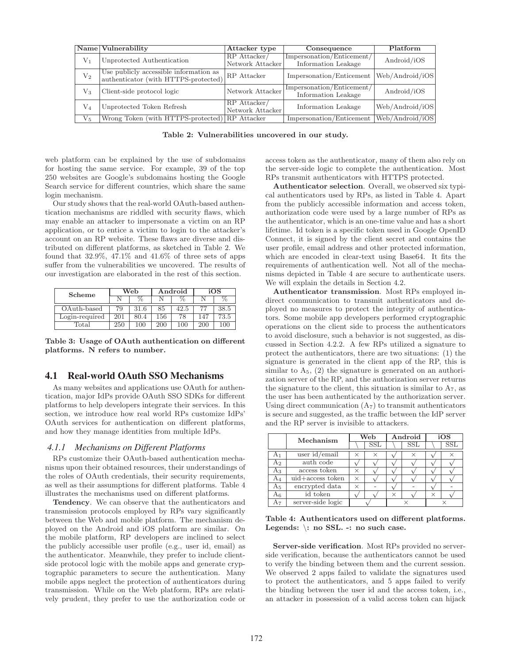|                | Name Vulnerability                                                             | Attacker type                      | Consequence                                      | Platform        |  |
|----------------|--------------------------------------------------------------------------------|------------------------------------|--------------------------------------------------|-----------------|--|
| $_{\rm V_1}$   | Unprotected Authentication                                                     | $RP$ Attacker/<br>Network Attacker | Impersonation/Enticement/<br>Information Leakage | Android/iOS     |  |
| V <sub>2</sub> | Use publicly accessible information as<br>authenticator (with HTTPS-protected) | RP Attacker                        | Impersonation/Enticement                         | Web/Android/iOS |  |
| $V_3$          | Client-side protocol logic                                                     | Network Attacker                   | Impersonation/Enticement/<br>Information Leakage | Android/iOS     |  |
| $\rm V_4$      | Unprotected Token Refresh                                                      | $RP$ Attacker/<br>Network Attacker | Information Leakage                              | Web/Android/iOS |  |
| V <sub>5</sub> | Wrong Token (with HTTPS-protected)                                             | RP Attacker                        | Impersonation/Enticement                         | Web/Android/iOS |  |

Table 2: Vulnerabilities uncovered in our study.

web platform can be explained by the use of subdomains for hosting the same service. For example, 39 of the top 250 websites are Google's subdomains hosting the Google Search service for different countries, which share the same login mechanism.

Our study shows that the real-world OAuth-based authentication mechanisms are riddled with security flaws, which may enable an attacker to impersonate a victim on an RP application, or to entice a victim to login to the attacker's account on an RP website. These flaws are diverse and distributed on different platforms, as sketched in Table 2. We found that  $32.9\%$ ,  $47.1\%$  and  $41.6\%$  of three sets of apps suffer from the vulnerabilities we uncovered. The results of our investigation are elaborated in the rest of this section.

| Scheme         | Web |      |     | Android | iOS |      |
|----------------|-----|------|-----|---------|-----|------|
|                |     |      |     |         |     |      |
| OAuth-based    | 79  | 31.6 | 85  | 42.5    |     | 38.5 |
| Login-required | 201 | 80.4 | 156 | 78      | 147 | 73.5 |
| Total          | 250 | 100  | 200 | 100     | 200 | 100  |

Table 3: Usage of OAuth authentication on different platforms. N refers to number.

# 4.1 Real-world OAuth SSO Mechanisms

As many websites and applications use OAuth for authentication, major IdPs provide OAuth SSO SDKs for different platforms to help developers integrate their services. In this section, we introduce how real world RPs customize IdPs' OAuth services for authentication on different platforms, and how they manage identities from multiple IdPs.

#### *4.1.1 Mechanisms on Different Platforms*

RPs customize their OAuth-based authentication mechanisms upon their obtained resources, their understandings of the roles of OAuth credentials, their security requirements, as well as their assumptions for different platforms. Table 4 illustrates the mechanisms used on different platforms.

Tendency. We can observe that the authenticators and transmission protocols employed by RPs vary significantly between the Web and mobile platform. The mechanism deployed on the Android and iOS platform are similar. On the mobile platform, RP developers are inclined to select the publicly accessible user profile (e.g., user id, email) as the authenticator. Meanwhile, they prefer to include clientside protocol logic with the mobile apps and generate cryptographic parameters to secure the authentication. Many mobile apps neglect the protection of authenticators during transmission. While on the Web platform, RPs are relatively prudent, they prefer to use the authorization code or

access token as the authenticator, many of them also rely on the server-side logic to complete the authentication. Most RPs transmit authenticators with HTTPS protected.

Authenticator selection. Overall, we observed six typical authenticators used by RPs, as listed in Table 4. Apart from the publicly accessible information and access token, authorization code were used by a large number of RPs as the authenticator, which is an one-time value and has a short lifetime. Id token is a specific token used in Google OpenID Connect, it is signed by the client secret and contains the user profile, email address and other protected information, which are encoded in clear-text using Base64. It fits the requirements of authentication well. Not all of the mechanisms depicted in Table 4 are secure to authenticate users. We will explain the details in Section 4.2.

Authenticator transmission. Most RPs employed indirect communication to transmit authenticators and deployed no measures to protect the integrity of authenticators. Some mobile app developers performed cryptographic operations on the client side to process the authenticators to avoid disclosure, such a behavior is not suggested, as discussed in Section 4.2.2. A few RPs utilized a signature to protect the authenticators, there are two situations: (1) the signature is generated in the client app of the RP, this is similar to  $A_5$ , (2) the signature is generated on an authorization server of the RP, and the authorization server returns the signature to the client, this situation is similar to  $A_7$ , as the user has been authenticated by the authorization server. Using direct communication  $(A_7)$  to transmit authenticators is secure and suggested, as the traffic between the IdP server and the RP server is invisible to attackers.

|       | Mechanism          | Web      |              | Android  |                      | iOS      |          |
|-------|--------------------|----------|--------------|----------|----------------------|----------|----------|
|       |                    |          | $_{\rm SSL}$ |          | $\operatorname{SSL}$ |          | SSI      |
| A1    | user $id/email$    | ×        |              |          | $\times$             |          | $\times$ |
| A2    | auth code          |          |              |          |                      |          |          |
| A3    | access token       | $\times$ |              |          |                      |          |          |
| A4    | $uid+access$ token | $\times$ |              |          |                      |          |          |
| $A_5$ | encrypted data     | $\times$ |              |          |                      |          |          |
| $A_6$ | id token           |          |              | $\times$ |                      | $\times$ |          |
| Α7    | server-side logic  |          |              |          |                      |          |          |

Table 4: Authenticators used on different platforms. Legends: *\*: no SSL. -: no such case.

Server-side verification. Most RPs provided no serverside verification, because the authenticators cannot be used to verify the binding between them and the current session. We observed 2 apps failed to validate the signatures used to protect the authenticators, and 5 apps failed to verify the binding between the user id and the access token, i.e., an attacker in possession of a valid access token can hijack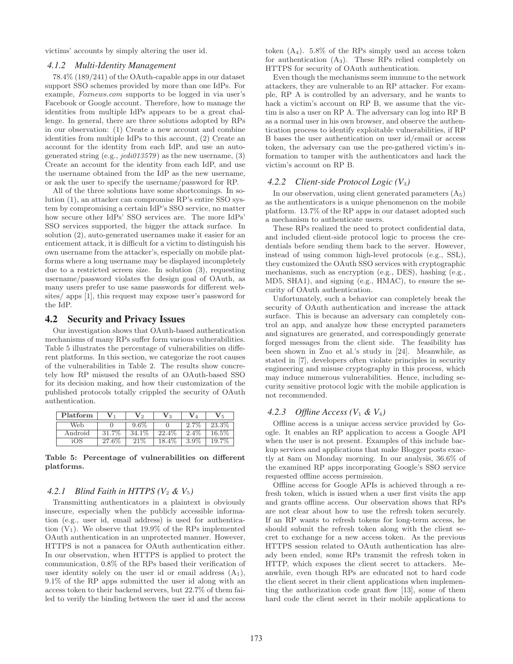victims' accounts by simply altering the user id.

#### *4.1.2 Multi-Identity Management*

78.4% (189/241) of the OAuth-capable apps in our dataset support SSO schemes provided by more than one IdPs. For example, *Foxnews.com* supports to be logged in via user's Facebook or Google account. Therefore, how to manage the identities from multiple IdPs appears to be a great challenge. In general, there are three solutions adopted by RPs in our observation: (1) Create a new account and combine identities from multiple IdPs to this account, (2) Create an account for the identity from each IdP, and use an autogenerated string (e.g., *jedi013579* ) as the new username, (3) Create an account for the identity from each IdP, and use the username obtained from the IdP as the new username, or ask the user to specify the username/password for RP.

All of the three solutions have some shortcomings. In solution (1), an attacker can compromise RP's entire SSO system by compromising a certain IdP's SSO service, no matter how secure other IdPs' SSO services are. The more IdPs' SSO services supported, the bigger the attack surface. In solution (2), auto-generated usernames make it easier for an enticement attack, it is difficult for a victim to distinguish his own username from the attacker's, especially on mobile platforms where a long username may be displayed incompletely due to a restricted screen size. In solution (3), requesting username/password violates the design goal of OAuth, as many users prefer to use same passwords for different websites/ apps [1], this request may expose user's password for the IdP.

# 4.2 Security and Privacy Issues

Our investigation shows that OAuth-based authentication mechanisms of many RPs suffer form various vulnerabilities. Table 5 illustrates the percentage of vulnerabilities on different platforms. In this section, we categorize the root causes of the vulnerabilities in Table 2. The results show concretely how RP misused the results of an OAuth-based SSO for its decision making, and how their customization of the published protocols totally crippled the security of OAuth authentication.

| Platform |       | $\Omega$<br>2 |                 |         |         |
|----------|-------|---------------|-----------------|---------|---------|
| Web      |       | $9.6\%$       |                 |         | 23.3\%  |
| Android  | 31.7% | 34.<br>$1\%$  | 22.4\%          | $2.4\%$ | $6.5\%$ |
|          | 6%    | 1 07          | $A^{0}Z$<br>18. | 3.9%    |         |

Table 5: Percentage of vulnerabilities on different platforms.

#### 4.2.1 *Blind Faith in HTTPS (V<sub>2</sub> & V<sub>5</sub>)*

Transmitting authenticators in a plaintext is obviously insecure, especially when the publicly accessible information (e.g., user id, email address) is used for authentication  $(V_1)$ . We observe that 19.9% of the RPs implemented OAuth authentication in an unprotected manner. However, HTTPS is not a panacea for OAuth authentication either. In our observation, when HTTPS is applied to protect the communication, 0.8% of the RPs based their verification of user identity solely on the user id or email address  $(A_1)$ , 9.1% of the RP apps submitted the user id along with an access token to their backend servers, but 22.7% of them failed to verify the binding between the user id and the access

token  $(A_4)$ . 5.8% of the RPs simply used an access token for authentication  $(A_3)$ . These RPs relied completely on HTTPS for security of OAuth authentication.

Even though the mechanisms seem immune to the network attackers, they are vulnerable to an RP attacker. For example, RP A is controlled by an adversary, and he wants to hack a victim's account on RP B, we assume that the victim is also a user on RP A. The adversary can log into RP B as a normal user in his own browser, and observe the authentication process to identify exploitable vulnerabilities, if RP B bases the user authentication on user id/email or access token, the adversary can use the pre-gathered victim's information to tamper with the authenticators and hack the victim's account on RP B.

# *4.2.2 Client-side Protocol Logic (V*3*)*

In our observation, using client generated parameters  $(A_5)$ as the authenticators is a unique phenomenon on the mobile platform. 13.7% of the RP apps in our dataset adopted such a mechanism to authenticate users.

These RPs realized the need to protect confidential data, and included client-side protocol logic to process the credentials before sending them back to the server. However, instead of using common high-level protocols (e.g., SSL), they customized the OAuth SSO services with cryptographic mechanisms, such as encryption (e.g., DES), hashing (e.g., MD5, SHA1), and signing (e.g., HMAC), to ensure the security of OAuth authentication.

Unfortunately, such a behavior can completely break the security of OAuth authentication and increase the attack surface. This is because an adversary can completely control an app, and analyze how these encrypted parameters and signatures are generated, and correspondingly generate forged messages from the client side. The feasibility has been shown in Zuo et al.'s study in [24]. Meanwhile, as stated in [7], developers often violate principles in security engineering and misuse cryptography in this process, which may induce numerous vulnerabilities. Hence, including security sensitive protocol logic with the mobile application is not recommended.

#### *4.2.3 Offline Access (V*<sup>1</sup> *& V*4*)*

Offline access is a unique access service provided by Google. It enables an RP application to access a Google API when the user is not present. Examples of this include backup services and applications that make Blogger posts exactly at 8am on Monday morning. In our analysis, 36.6% of the examined RP apps incorporating Google's SSO service requested offline access permission.

Offline access for Google APIs is achieved through a refresh token, which is issued when a user first visits the app and grants offline access. Our observation shows that RPs are not clear about how to use the refresh token securely. If an RP wants to refresh tokens for long-term access, he should submit the refresh token along with the client secret to exchange for a new access token. As the previous HTTPS session related to OAuth authentication has already been ended, some RPs transmit the refresh token in HTTP, which exposes the client secret to attackers. Meanwhile, even though RPs are educated not to hard code the client secret in their client applications when implementing the authorization code grant flow [13], some of them hard code the client secret in their mobile applications to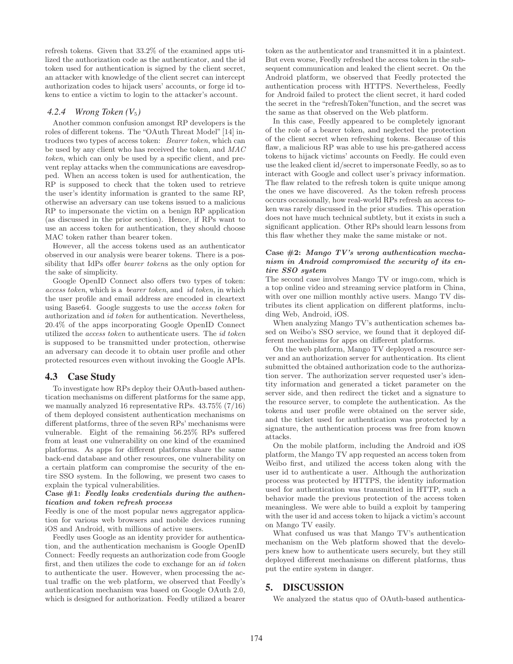refresh tokens. Given that 33.2% of the examined apps utilized the authorization code as the authenticator, and the id token used for authentication is signed by the client secret, an attacker with knowledge of the client secret can intercept authorization codes to hijack users' accounts, or forge id tokens to entice a victim to login to the attacker's account.

#### *4.2.4 Wrong Token (V*5*)*

Another common confusion amongst RP developers is the roles of different tokens. The "OAuth Threat Model" [14] introduces two types of access token: *Bearer token*, which can be used by any client who has received the token, and *MAC token*, which can only be used by a specific client, and prevent replay attacks when the communications are eavesdropped. When an access token is used for authentication, the RP is supposed to check that the token used to retrieve the user's identity information is granted to the same RP, otherwise an adversary can use tokens issued to a malicious RP to impersonate the victim on a benign RP application (as discussed in the prior section). Hence, if RPs want to use an access token for authentication, they should choose MAC token rather than bearer token.

However, all the access tokens used as an authenticator observed in our analysis were bearer tokens. There is a possibility that IdPs offer *bearer token*s as the only option for the sake of simplicity.

Google OpenID Connect also offers two types of token: *access token*, which is a *bearer token*, and *id token*, in which the user profile and email address are encoded in cleartext using Base64. Google suggests to use the *access token* for authorization and *id token* for authentication. Nevertheless, 20.4% of the apps incorporating Google OpenID Connect utilized the *access token* to authenticate users. The *id token* is supposed to be transmitted under protection, otherwise an adversary can decode it to obtain user profile and other protected resources even without invoking the Google APIs.

#### 4.3 Case Study

To investigate how RPs deploy their OAuth-based authentication mechanisms on different platforms for the same app, we manually analyzed 16 representative RPs. 43.75% (7/16) of them deployed consistent authentication mechanisms on different platforms, three of the seven RPs' mechanisms were vulnerable. Eight of the remaining 56.25% RPs suffered from at least one vulnerability on one kind of the examined platforms. As apps for different platforms share the same back-end database and other resources, one vulnerability on a certain platform can compromise the security of the entire SSO system. In the following, we present two cases to explain the typical vulnerabilities.

#### Case #1: *Feedly leaks credentials during the authentication and token refresh process*

Feedly is one of the most popular news aggregator application for various web browsers and mobile devices running iOS and Android, with millions of active users.

Feedly uses Google as an identity provider for authentication, and the authentication mechanism is Google OpenID Connect: Feedly requests an authorization code from Google first, and then utilizes the code to exchange for an *id token* to authenticate the user. However, when processing the actual traffic on the web platform, we observed that Feedly's authentication mechanism was based on Google OAuth 2.0, which is designed for authorization. Feedly utilized a bearer token as the authenticator and transmitted it in a plaintext. But even worse, Feedly refreshed the access token in the subsequent communication and leaked the client secret. On the Android platform, we observed that Feedly protected the authentication process with HTTPS. Nevertheless, Feedly for Android failed to protect the client secret, it hard coded the secret in the "refreshToken"function, and the secret was the same as that observed on the Web platform.

In this case, Feedly appeared to be completely ignorant of the role of a bearer token, and neglected the protection of the client secret when refreshing tokens. Because of this flaw, a malicious RP was able to use his pre-gathered access tokens to hijack victims' accounts on Feedly. He could even use the leaked client id/secret to impersonate Feedly, so as to interact with Google and collect user's privacy information. The flaw related to the refresh token is quite unique among the ones we have discovered. As the token refresh process occurs occasionally, how real-world RPs refresh an access token was rarely discussed in the prior studies. This operation does not have much technical subtlety, but it exists in such a significant application. Other RPs should learn lessons from this flaw whether they make the same mistake or not.

#### Case #2: *Mango TV's wrong authentication mechanism in Android compromised the security of its entire SSO system*

The second case involves Mango TV or imgo.com, which is a top online video and streaming service platform in China, with over one million monthly active users. Mango TV distributes its client application on different platforms, including Web, Android, iOS.

When analyzing Mango TV's authentication schemes based on Weibo's SSO service, we found that it deployed different mechanisms for apps on different platforms.

On the web platform, Mango TV deployed a resource server and an authorization server for authentication. Its client submitted the obtained authorization code to the authorization server. The authorization server requested user's identity information and generated a ticket parameter on the server side, and then redirect the ticket and a signature to the resource server, to complete the authentication. As the tokens and user profile were obtained on the server side, and the ticket used for authentication was protected by a signature, the authentication process was free from known attacks.

On the mobile platform, including the Android and iOS platform, the Mango TV app requested an access token from Weibo first, and utilized the access token along with the user id to authenticate a user. Although the authorization process was protected by HTTPS, the identity information used for authentication was transmitted in HTTP, such a behavior made the previous protection of the access token meaningless. We were able to build a exploit by tampering with the user id and access token to hijack a victim's account on Mango TV easily.

What confused us was that Mango TV's authentication mechanism on the Web platform showed that the developers knew how to authenticate users securely, but they still deployed different mechanisms on different platforms, thus put the entire system in danger.

# 5. DISCUSSION

We analyzed the status quo of OAuth-based authentica-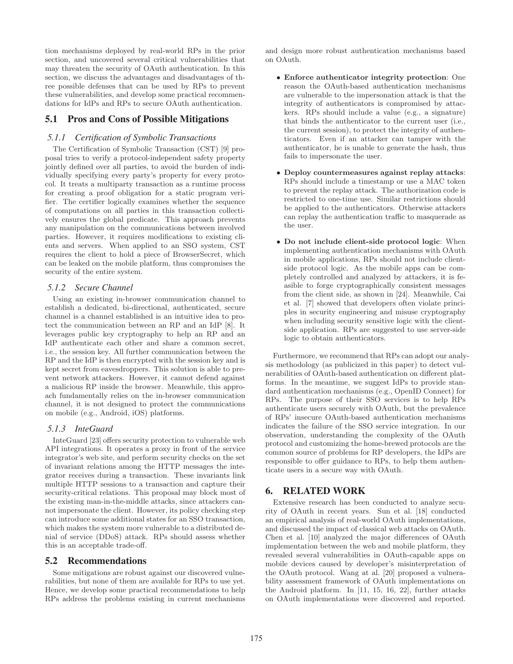tion mechanisms deployed by real-world RPs in the prior section, and uncovered several critical vulnerabilities that may threaten the security of OAuth authentication. In this section, we discuss the advantages and disadvantages of three possible defenses that can be used by RPs to prevent these vulnerabilities, and develop some practical recommendations for IdPs and RPs to secure OAuth authentication.

# 5.1 Pros and Cons of Possible Mitigations

# *5.1.1 Certification of Symbolic Transactions*

The Certification of Symbolic Transaction (CST) [9] proposal tries to verify a protocol-independent safety property jointly defined over all parties, to avoid the burden of individually specifying every party's property for every protocol. It treats a multiparty transaction as a runtime process for creating a proof obligation for a static program verifier. The certifier logically examines whether the sequence of computations on all parties in this transaction collectively ensures the global predicate. This approach prevents any manipulation on the communications between involved parties. However, it requires modifications to existing clients and servers. When applied to an SSO system, CST requires the client to hold a piece of BrowserSecret, which can be leaked on the mobile platform, thus compromises the security of the entire system.

#### *5.1.2 Secure Channel*

Using an existing in-browser communication channel to establish a dedicated, bi-directional, authenticated, secure channel is a channel established is an intuitive idea to protect the communication between an RP and an IdP [8]. It leverages public key cryptography to help an RP and an IdP authenticate each other and share a common secret, i.e., the session key. All further communication between the RP and the IdP is then encrypted with the session key and is kept secret from eavesdroppers. This solution is able to prevent network attackers. However, it cannot defend against a malicious RP inside the browser. Meanwhile, this approach fundamentally relies on the in-browser communication channel, it is not designed to protect the communications on mobile (e.g., Android, iOS) platforms.

#### *5.1.3 InteGuard*

InteGuard [23] offers security protection to vulnerable web API integrations. It operates a proxy in front of the service integrator's web site, and perform security checks on the set of invariant relations among the HTTP messages the integrator receives during a transaction. These invariants link multiple HTTP sessions to a transaction and capture their security-critical relations. This proposal may block most of the existing man-in-the-middle attacks, since attackers cannot impersonate the client. However, its policy checking step can introduce some additional states for an SSO transaction, which makes the system more vulnerable to a distributed denial of service (DDoS) attack. RPs should assess whether this is an acceptable trade-off.

#### 5.2 Recommendations

Some mitigations are robust against our discovered vulnerabilities, but none of them are available for RPs to use yet. Hence, we develop some practical recommendations to help RPs address the problems existing in current mechanisms and design more robust authentication mechanisms based on OAuth.

- *•* Enforce authenticator integrity protection: One reason the OAuth-based authentication mechanisms are vulnerable to the impersonation attack is that the integrity of authenticators is compromised by attackers. RPs should include a value (e.g., a signature) that binds the authenticator to the current user (i.e., the current session), to protect the integrity of authenticators. Even if an attacker can tamper with the authenticator, he is unable to generate the hash, thus fails to impersonate the user.
- *•* Deploy countermeasures against replay attacks: RPs should include a timestamp or use a MAC token to prevent the replay attack. The authorization code is restricted to one-time use. Similar restrictions should be applied to the authenticators. Otherwise attackers can replay the authentication traffic to masquerade as the user.
- *•* Do not include client-side protocol logic: When implementing authentication mechanisms with OAuth in mobile applications, RPs should not include clientside protocol logic. As the mobile apps can be completely controlled and analyzed by attackers, it is feasible to forge cryptographically consistent messages from the client side, as shown in [24]. Meanwhile, Cai et al. [7] showed that developers often violate principles in security engineering and misuse cryptography when including security sensitive logic with the clientside application. RPs are suggested to use server-side logic to obtain authenticators.

Furthermore, we recommend that RPs can adopt our analysis methodology (as publicized in this paper) to detect vulnerabilities of OAuth-based authentication on different platforms. In the meantime, we suggest IdPs to provide standard authentication mechanisms (e.g., OpenID Connect) for RPs. The purpose of their SSO services is to help RPs authenticate users securely with OAuth, but the prevalence of RPs' insecure OAuth-based authentication mechanisms indicates the failure of the SSO service integration. In our observation, understanding the complexity of the OAuth protocol and customizing the home-brewed protocols are the common source of problems for RP developers, the IdPs are responsible to offer guidance to RPs, to help them authenticate users in a secure way with OAuth.

# 6. RELATED WORK

Extensive research has been conducted to analyze security of OAuth in recent years. Sun et al. [18] conducted an empirical analysis of real-world OAuth implementations, and discussed the impact of classical web attacks on OAuth. Chen et al. [10] analyzed the major differences of OAuth implementation between the web and mobile platform, they revealed several vulnerabilities in OAuth-capable apps on mobile devices caused by developer's misinterpretation of the OAuth protocol. Wang at al. [20] proposed a vulnerability assessment framework of OAuth implementations on the Android platform. In [11, 15, 16, 22], further attacks on OAuth implementations were discovered and reported.